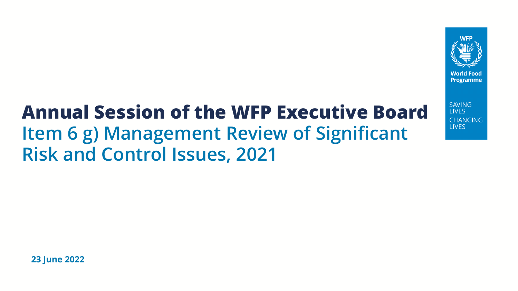

**SAVING I IVES CHANGING LIVES** 

# **Annual Session of the WFP Executive Board Item 6 g) Management Review of Significant Risk and Control Issues, 2021**

**23 June 2022**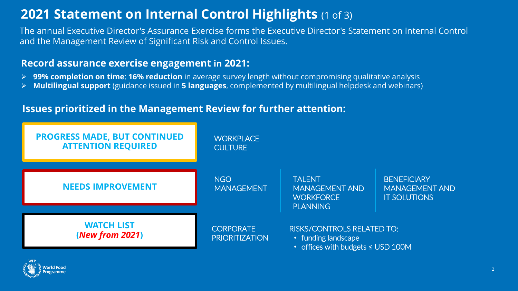## **2021 Statement on Internal Control Highlights** (1 of 3)

The annual Executive Director's Assurance Exercise forms the Executive Director's Statement on Internal Control and the Management Review of Significant Risk and Control Issues.

### **Record assurance exercise engagement in 2021:**

- ➢ **99% completion on time**; **16% reduction** in average survey length without compromising qualitative analysis
- ➢ **Multilingual support** (guidance issued in **5 languages**, complemented by multilingual helpdesk and webinars)

### **Issues prioritized in the Management Review for further attention:**



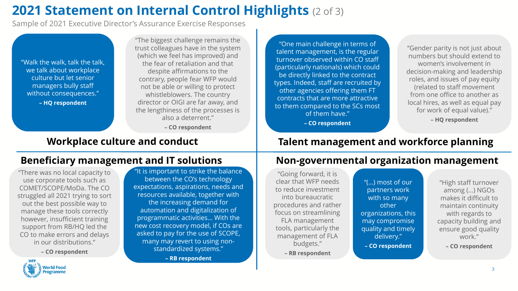## **2021 Statement on Internal Control Highlights** (2 of 3)

Sample of 2021 Executive Director's Assurance Exercise Responses

"Walk the walk, talk the talk, we talk about workplace culture but let senior managers bully staff without consequences." **– HQ respondent**

"The biggest challenge remains the trust colleagues have in the system (which we feel has improved) and the fear of retaliation and that despite affirmations to the contrary, people fear WFP would not be able or willing to protect whistleblowers. The country director or OIGI are far away, and the lengthiness of the processes is also a deterrent."

**– CO respondent**

"One main challenge in terms of talent management, is the regular turnover observed within CO staff (particularly nationals) which could be directly linked to the contract types. Indeed, staff are recruited by other agencies offering them FT contracts that are more attractive to them compared to the SCs most of them have."

**– CO respondent**

"Gender parity is not just about numbers but should extend to women's involvement in decision-making and leadership roles, and issues of pay equity (related to staff movement from one office to another as local hires, as well as equal pay for work of equal value)."

**– HQ respondent**

"There was no local capacity to use corporate tools such as COMET/SCOPE/MoDa. The CO struggled all 2021 trying to sort out the best possible way to manage these tools correctly however, insufficient training support from RB/HQ led the CO to make errors and delays in our distributions."

**– CO respondent**

**World Food** 

"It is important to strike the balance between the CO's technology expectations, aspirations, needs and resources available, together with the increasing demand for automation and digitalization of programmatic activities… With the new cost recovery model, if COs are asked to pay for the use of SCOPE, many may revert to using nonstandardized systems."

**– RB respondent**

## **Workplace culture and conduct Talent management and workforce planning**

### **Beneficiary management and IT solutions Non-governmental organization management**

"Going forward, it is clear that WFP needs to reduce investment into bureaucratic procedures and rather focus on streamlining FLA management tools, particularly the management of FLA budgets." **– RB respondent**

"(…) most of our partners work with so many other organizations, this may compromise quality and timely delivery." **– CO respondent**

"High staff turnover among (…) NGOs makes it difficult to maintain continuity with regards to capacity building and ensure good quality work." **– CO respondent**

3